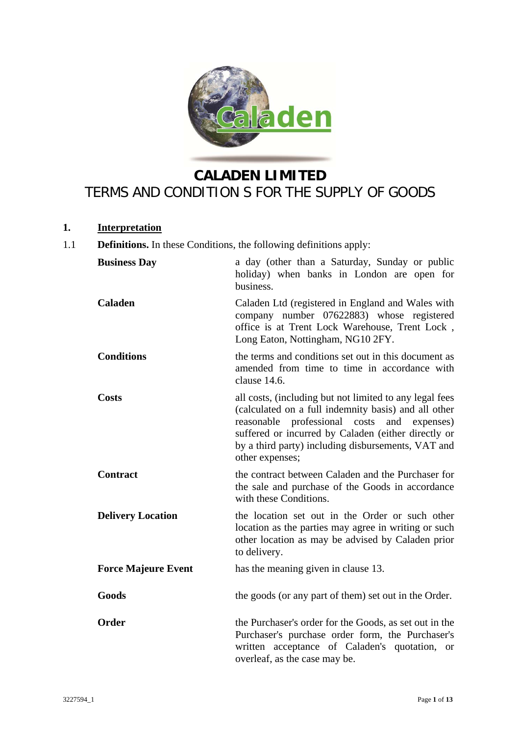

# **CALADEN LIMITED**  TERMS AND CONDITION S FOR THE SUPPLY OF GOODS

# **1. Interpretation**

1.1 **Definitions.** In these Conditions, the following definitions apply:

| <b>Business Day</b>        | a day (other than a Saturday, Sunday or public<br>holiday) when banks in London are open for<br>business.                                                                                                                                                                                                  |
|----------------------------|------------------------------------------------------------------------------------------------------------------------------------------------------------------------------------------------------------------------------------------------------------------------------------------------------------|
| <b>Caladen</b>             | Caladen Ltd (registered in England and Wales with<br>company number 07622883) whose registered<br>office is at Trent Lock Warehouse, Trent Lock,<br>Long Eaton, Nottingham, NG10 2FY.                                                                                                                      |
| <b>Conditions</b>          | the terms and conditions set out in this document as<br>amended from time to time in accordance with<br>clause 14.6.                                                                                                                                                                                       |
| <b>Costs</b>               | all costs, (including but not limited to any legal fees<br>(calculated on a full indemnity basis) and all other<br>professional<br>costs<br>and<br>reasonable<br>expenses)<br>suffered or incurred by Caladen (either directly or<br>by a third party) including disbursements, VAT and<br>other expenses; |
| <b>Contract</b>            | the contract between Caladen and the Purchaser for<br>the sale and purchase of the Goods in accordance<br>with these Conditions.                                                                                                                                                                           |
| <b>Delivery Location</b>   | the location set out in the Order or such other<br>location as the parties may agree in writing or such<br>other location as may be advised by Caladen prior<br>to delivery.                                                                                                                               |
| <b>Force Majeure Event</b> | has the meaning given in clause 13.                                                                                                                                                                                                                                                                        |
| Goods                      | the goods (or any part of them) set out in the Order.                                                                                                                                                                                                                                                      |
| <b>Order</b>               | the Purchaser's order for the Goods, as set out in the<br>Purchaser's purchase order form, the Purchaser's<br>written acceptance of Caladen's quotation, or<br>overleaf, as the case may be.                                                                                                               |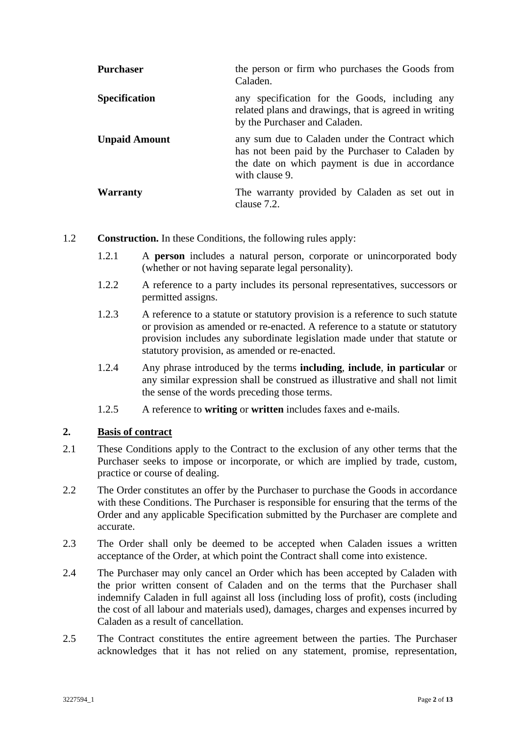| <b>Purchaser</b>     | the person or firm who purchases the Goods from<br>Caladen.                                                                                                             |
|----------------------|-------------------------------------------------------------------------------------------------------------------------------------------------------------------------|
| <b>Specification</b> | any specification for the Goods, including any<br>related plans and drawings, that is agreed in writing<br>by the Purchaser and Caladen.                                |
| <b>Unpaid Amount</b> | any sum due to Caladen under the Contract which<br>has not been paid by the Purchaser to Caladen by<br>the date on which payment is due in accordance<br>with clause 9. |
| <b>Warranty</b>      | The warranty provided by Caladen as set out in<br>clause 7.2.                                                                                                           |

- 1.2 **Construction.** In these Conditions, the following rules apply:
	- 1.2.1 A **person** includes a natural person, corporate or unincorporated body (whether or not having separate legal personality).
	- 1.2.2 A reference to a party includes its personal representatives, successors or permitted assigns.
	- 1.2.3 A reference to a statute or statutory provision is a reference to such statute or provision as amended or re-enacted. A reference to a statute or statutory provision includes any subordinate legislation made under that statute or statutory provision, as amended or re-enacted.
	- 1.2.4 Any phrase introduced by the terms **including**, **include**, **in particular** or any similar expression shall be construed as illustrative and shall not limit the sense of the words preceding those terms.
	- 1.2.5 A reference to **writing** or **written** includes faxes and e-mails.

#### **2. Basis of contract**

- 2.1 These Conditions apply to the Contract to the exclusion of any other terms that the Purchaser seeks to impose or incorporate, or which are implied by trade, custom, practice or course of dealing.
- 2.2 The Order constitutes an offer by the Purchaser to purchase the Goods in accordance with these Conditions. The Purchaser is responsible for ensuring that the terms of the Order and any applicable Specification submitted by the Purchaser are complete and accurate.
- 2.3 The Order shall only be deemed to be accepted when Caladen issues a written acceptance of the Order, at which point the Contract shall come into existence.
- 2.4 The Purchaser may only cancel an Order which has been accepted by Caladen with the prior written consent of Caladen and on the terms that the Purchaser shall indemnify Caladen in full against all loss (including loss of profit), costs (including the cost of all labour and materials used), damages, charges and expenses incurred by Caladen as a result of cancellation.
- 2.5 The Contract constitutes the entire agreement between the parties. The Purchaser acknowledges that it has not relied on any statement, promise, representation,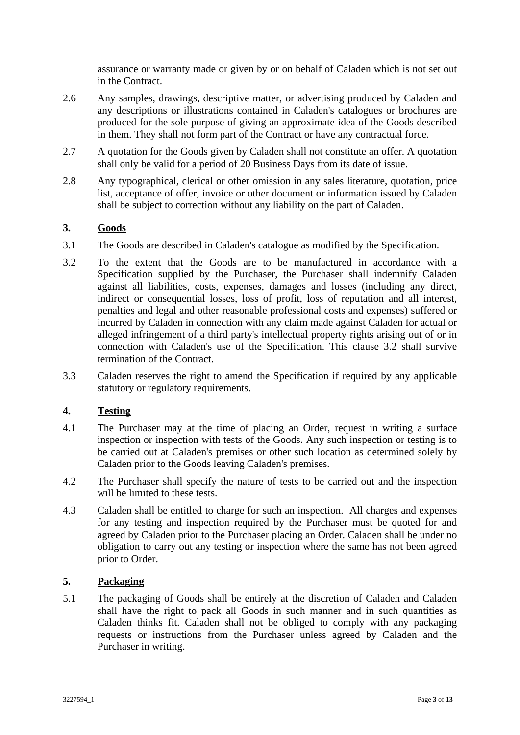assurance or warranty made or given by or on behalf of Caladen which is not set out in the Contract.

- 2.6 Any samples, drawings, descriptive matter, or advertising produced by Caladen and any descriptions or illustrations contained in Caladen's catalogues or brochures are produced for the sole purpose of giving an approximate idea of the Goods described in them. They shall not form part of the Contract or have any contractual force.
- 2.7 A quotation for the Goods given by Caladen shall not constitute an offer. A quotation shall only be valid for a period of 20 Business Days from its date of issue.
- 2.8 Any typographical, clerical or other omission in any sales literature, quotation, price list, acceptance of offer, invoice or other document or information issued by Caladen shall be subject to correction without any liability on the part of Caladen.

# **3. Goods**

- 3.1 The Goods are described in Caladen's catalogue as modified by the Specification.
- 3.2 To the extent that the Goods are to be manufactured in accordance with a Specification supplied by the Purchaser, the Purchaser shall indemnify Caladen against all liabilities, costs, expenses, damages and losses (including any direct, indirect or consequential losses, loss of profit, loss of reputation and all interest, penalties and legal and other reasonable professional costs and expenses) suffered or incurred by Caladen in connection with any claim made against Caladen for actual or alleged infringement of a third party's intellectual property rights arising out of or in connection with Caladen's use of the Specification. This clause 3.2 shall survive termination of the Contract.
- 3.3 Caladen reserves the right to amend the Specification if required by any applicable statutory or regulatory requirements.

# **4. Testing**

- 4.1 The Purchaser may at the time of placing an Order, request in writing a surface inspection or inspection with tests of the Goods. Any such inspection or testing is to be carried out at Caladen's premises or other such location as determined solely by Caladen prior to the Goods leaving Caladen's premises.
- 4.2 The Purchaser shall specify the nature of tests to be carried out and the inspection will be limited to these tests.
- 4.3 Caladen shall be entitled to charge for such an inspection. All charges and expenses for any testing and inspection required by the Purchaser must be quoted for and agreed by Caladen prior to the Purchaser placing an Order. Caladen shall be under no obligation to carry out any testing or inspection where the same has not been agreed prior to Order.

#### **5. Packaging**

5.1 The packaging of Goods shall be entirely at the discretion of Caladen and Caladen shall have the right to pack all Goods in such manner and in such quantities as Caladen thinks fit. Caladen shall not be obliged to comply with any packaging requests or instructions from the Purchaser unless agreed by Caladen and the Purchaser in writing.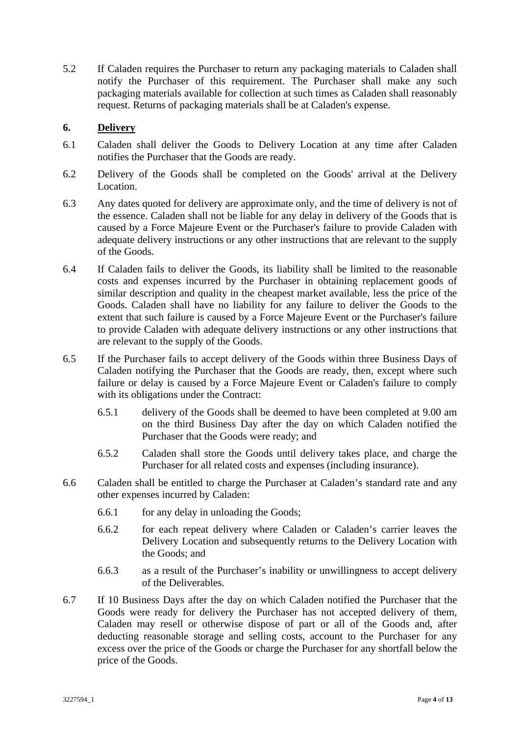5.2 If Caladen requires the Purchaser to return any packaging materials to Caladen shall notify the Purchaser of this requirement. The Purchaser shall make any such packaging materials available for collection at such times as Caladen shall reasonably request. Returns of packaging materials shall be at Caladen's expense.

# **6. Delivery**

- 6.1 Caladen shall deliver the Goods to Delivery Location at any time after Caladen notifies the Purchaser that the Goods are ready.
- 6.2 Delivery of the Goods shall be completed on the Goods' arrival at the Delivery Location.
- 6.3 Any dates quoted for delivery are approximate only, and the time of delivery is not of the essence. Caladen shall not be liable for any delay in delivery of the Goods that is caused by a Force Majeure Event or the Purchaser's failure to provide Caladen with adequate delivery instructions or any other instructions that are relevant to the supply of the Goods.
- 6.4 If Caladen fails to deliver the Goods, its liability shall be limited to the reasonable costs and expenses incurred by the Purchaser in obtaining replacement goods of similar description and quality in the cheapest market available, less the price of the Goods. Caladen shall have no liability for any failure to deliver the Goods to the extent that such failure is caused by a Force Majeure Event or the Purchaser's failure to provide Caladen with adequate delivery instructions or any other instructions that are relevant to the supply of the Goods.
- 6.5 If the Purchaser fails to accept delivery of the Goods within three Business Days of Caladen notifying the Purchaser that the Goods are ready, then, except where such failure or delay is caused by a Force Majeure Event or Caladen's failure to comply with its obligations under the Contract:
	- 6.5.1 delivery of the Goods shall be deemed to have been completed at 9.00 am on the third Business Day after the day on which Caladen notified the Purchaser that the Goods were ready; and
	- 6.5.2 Caladen shall store the Goods until delivery takes place, and charge the Purchaser for all related costs and expenses (including insurance).
- 6.6 Caladen shall be entitled to charge the Purchaser at Caladen's standard rate and any other expenses incurred by Caladen:
	- 6.6.1 for any delay in unloading the Goods;
	- 6.6.2 for each repeat delivery where Caladen or Caladen's carrier leaves the Delivery Location and subsequently returns to the Delivery Location with the Goods; and
	- 6.6.3 as a result of the Purchaser's inability or unwillingness to accept delivery of the Deliverables.
- 6.7 If 10 Business Days after the day on which Caladen notified the Purchaser that the Goods were ready for delivery the Purchaser has not accepted delivery of them, Caladen may resell or otherwise dispose of part or all of the Goods and, after deducting reasonable storage and selling costs, account to the Purchaser for any excess over the price of the Goods or charge the Purchaser for any shortfall below the price of the Goods.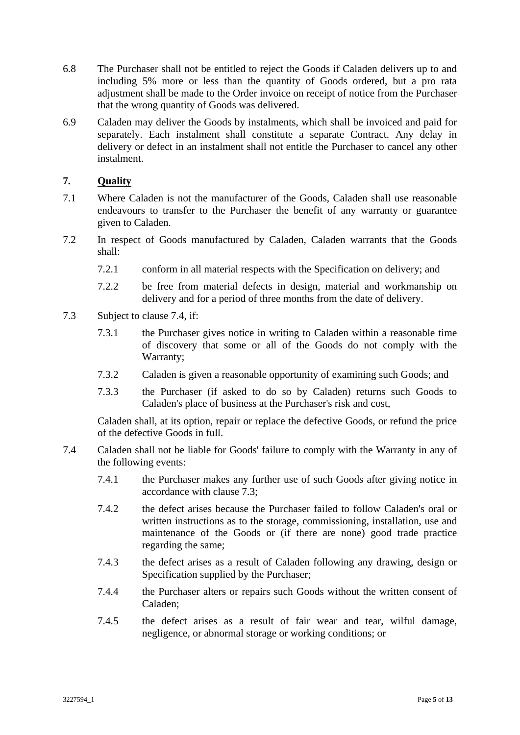- 6.8 The Purchaser shall not be entitled to reject the Goods if Caladen delivers up to and including 5% more or less than the quantity of Goods ordered, but a pro rata adjustment shall be made to the Order invoice on receipt of notice from the Purchaser that the wrong quantity of Goods was delivered.
- 6.9 Caladen may deliver the Goods by instalments, which shall be invoiced and paid for separately. Each instalment shall constitute a separate Contract. Any delay in delivery or defect in an instalment shall not entitle the Purchaser to cancel any other instalment.

# **7. Quality**

- 7.1 Where Caladen is not the manufacturer of the Goods, Caladen shall use reasonable endeavours to transfer to the Purchaser the benefit of any warranty or guarantee given to Caladen.
- 7.2 In respect of Goods manufactured by Caladen, Caladen warrants that the Goods shall:
	- 7.2.1 conform in all material respects with the Specification on delivery; and
	- 7.2.2 be free from material defects in design, material and workmanship on delivery and for a period of three months from the date of delivery.
- 7.3 Subject to clause 7.4, if:
	- 7.3.1 the Purchaser gives notice in writing to Caladen within a reasonable time of discovery that some or all of the Goods do not comply with the Warranty;
	- 7.3.2 Caladen is given a reasonable opportunity of examining such Goods; and
	- 7.3.3 the Purchaser (if asked to do so by Caladen) returns such Goods to Caladen's place of business at the Purchaser's risk and cost,

Caladen shall, at its option, repair or replace the defective Goods, or refund the price of the defective Goods in full.

- 7.4 Caladen shall not be liable for Goods' failure to comply with the Warranty in any of the following events:
	- 7.4.1 the Purchaser makes any further use of such Goods after giving notice in accordance with clause 7.3;
	- 7.4.2 the defect arises because the Purchaser failed to follow Caladen's oral or written instructions as to the storage, commissioning, installation, use and maintenance of the Goods or (if there are none) good trade practice regarding the same;
	- 7.4.3 the defect arises as a result of Caladen following any drawing, design or Specification supplied by the Purchaser;
	- 7.4.4 the Purchaser alters or repairs such Goods without the written consent of Caladen;
	- 7.4.5 the defect arises as a result of fair wear and tear, wilful damage, negligence, or abnormal storage or working conditions; or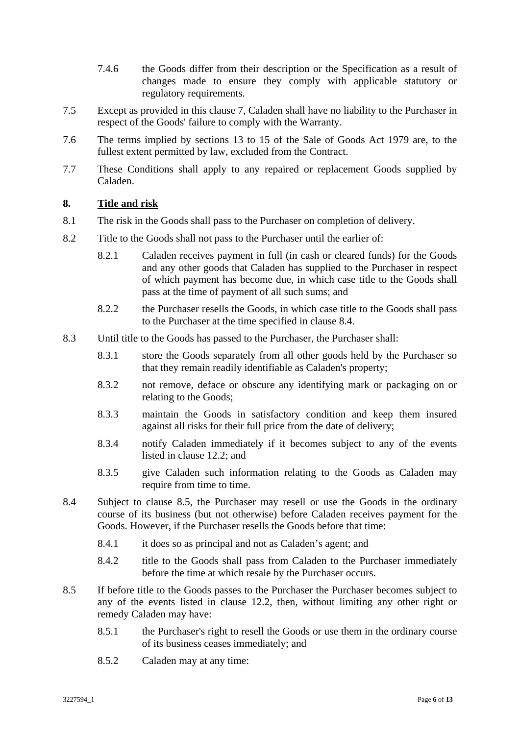- 7.4.6 the Goods differ from their description or the Specification as a result of changes made to ensure they comply with applicable statutory or regulatory requirements.
- 7.5 Except as provided in this clause 7, Caladen shall have no liability to the Purchaser in respect of the Goods' failure to comply with the Warranty.
- 7.6 The terms implied by sections 13 to 15 of the Sale of Goods Act 1979 are, to the fullest extent permitted by law, excluded from the Contract.
- 7.7 These Conditions shall apply to any repaired or replacement Goods supplied by Caladen.

# **8. Title and risk**

- 8.1 The risk in the Goods shall pass to the Purchaser on completion of delivery.
- 8.2 Title to the Goods shall not pass to the Purchaser until the earlier of:
	- 8.2.1 Caladen receives payment in full (in cash or cleared funds) for the Goods and any other goods that Caladen has supplied to the Purchaser in respect of which payment has become due, in which case title to the Goods shall pass at the time of payment of all such sums; and
	- 8.2.2 the Purchaser resells the Goods, in which case title to the Goods shall pass to the Purchaser at the time specified in clause 8.4.
- 8.3 Until title to the Goods has passed to the Purchaser, the Purchaser shall:
	- 8.3.1 store the Goods separately from all other goods held by the Purchaser so that they remain readily identifiable as Caladen's property;
	- 8.3.2 not remove, deface or obscure any identifying mark or packaging on or relating to the Goods;
	- 8.3.3 maintain the Goods in satisfactory condition and keep them insured against all risks for their full price from the date of delivery;
	- 8.3.4 notify Caladen immediately if it becomes subject to any of the events listed in clause 12.2; and
	- 8.3.5 give Caladen such information relating to the Goods as Caladen may require from time to time.
- 8.4 Subject to clause 8.5, the Purchaser may resell or use the Goods in the ordinary course of its business (but not otherwise) before Caladen receives payment for the Goods. However, if the Purchaser resells the Goods before that time:
	- 8.4.1 it does so as principal and not as Caladen's agent; and
	- 8.4.2 title to the Goods shall pass from Caladen to the Purchaser immediately before the time at which resale by the Purchaser occurs.
- 8.5 If before title to the Goods passes to the Purchaser the Purchaser becomes subject to any of the events listed in clause 12.2, then, without limiting any other right or remedy Caladen may have:
	- 8.5.1 the Purchaser's right to resell the Goods or use them in the ordinary course of its business ceases immediately; and
	- 8.5.2 Caladen may at any time: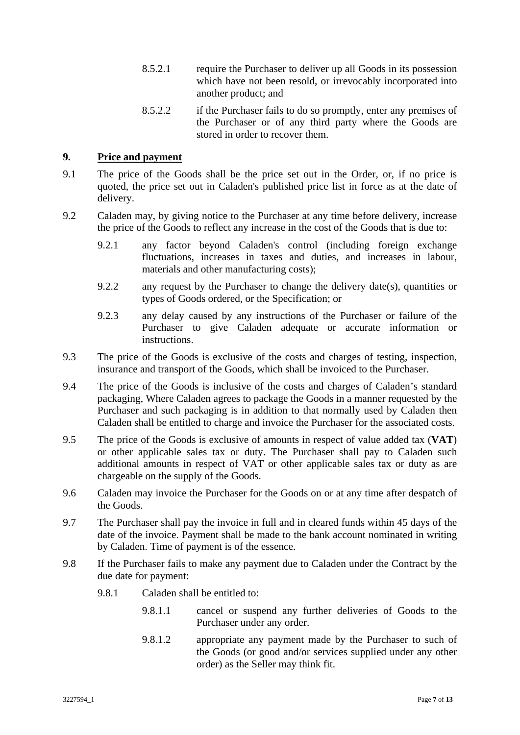- 8.5.2.1 require the Purchaser to deliver up all Goods in its possession which have not been resold, or irrevocably incorporated into another product; and
- 8.5.2.2 if the Purchaser fails to do so promptly, enter any premises of the Purchaser or of any third party where the Goods are stored in order to recover them.

#### **9. Price and payment**

- 9.1 The price of the Goods shall be the price set out in the Order, or, if no price is quoted, the price set out in Caladen's published price list in force as at the date of delivery.
- 9.2 Caladen may, by giving notice to the Purchaser at any time before delivery, increase the price of the Goods to reflect any increase in the cost of the Goods that is due to:
	- 9.2.1 any factor beyond Caladen's control (including foreign exchange fluctuations, increases in taxes and duties, and increases in labour, materials and other manufacturing costs);
	- 9.2.2 any request by the Purchaser to change the delivery date(s), quantities or types of Goods ordered, or the Specification; or
	- 9.2.3 any delay caused by any instructions of the Purchaser or failure of the Purchaser to give Caladen adequate or accurate information or instructions.
- 9.3 The price of the Goods is exclusive of the costs and charges of testing, inspection, insurance and transport of the Goods, which shall be invoiced to the Purchaser.
- 9.4 The price of the Goods is inclusive of the costs and charges of Caladen's standard packaging, Where Caladen agrees to package the Goods in a manner requested by the Purchaser and such packaging is in addition to that normally used by Caladen then Caladen shall be entitled to charge and invoice the Purchaser for the associated costs.
- 9.5 The price of the Goods is exclusive of amounts in respect of value added tax (**VAT**) or other applicable sales tax or duty. The Purchaser shall pay to Caladen such additional amounts in respect of VAT or other applicable sales tax or duty as are chargeable on the supply of the Goods.
- 9.6 Caladen may invoice the Purchaser for the Goods on or at any time after despatch of the Goods.
- 9.7 The Purchaser shall pay the invoice in full and in cleared funds within 45 days of the date of the invoice. Payment shall be made to the bank account nominated in writing by Caladen. Time of payment is of the essence.
- 9.8 If the Purchaser fails to make any payment due to Caladen under the Contract by the due date for payment:
	- 9.8.1 Caladen shall be entitled to:
		- 9.8.1.1 cancel or suspend any further deliveries of Goods to the Purchaser under any order.
		- 9.8.1.2 appropriate any payment made by the Purchaser to such of the Goods (or good and/or services supplied under any other order) as the Seller may think fit.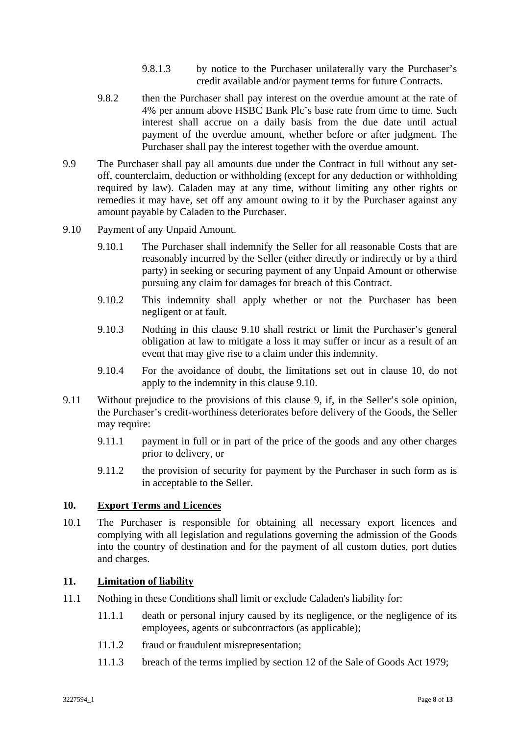- 9.8.1.3 by notice to the Purchaser unilaterally vary the Purchaser's credit available and/or payment terms for future Contracts.
- 9.8.2 then the Purchaser shall pay interest on the overdue amount at the rate of 4% per annum above HSBC Bank Plc's base rate from time to time. Such interest shall accrue on a daily basis from the due date until actual payment of the overdue amount, whether before or after judgment. The Purchaser shall pay the interest together with the overdue amount.
- 9.9 The Purchaser shall pay all amounts due under the Contract in full without any setoff, counterclaim, deduction or withholding (except for any deduction or withholding required by law). Caladen may at any time, without limiting any other rights or remedies it may have, set off any amount owing to it by the Purchaser against any amount payable by Caladen to the Purchaser.
- 9.10 Payment of any Unpaid Amount.
	- 9.10.1 The Purchaser shall indemnify the Seller for all reasonable Costs that are reasonably incurred by the Seller (either directly or indirectly or by a third party) in seeking or securing payment of any Unpaid Amount or otherwise pursuing any claim for damages for breach of this Contract.
	- 9.10.2 This indemnity shall apply whether or not the Purchaser has been negligent or at fault.
	- 9.10.3 Nothing in this clause 9.10 shall restrict or limit the Purchaser's general obligation at law to mitigate a loss it may suffer or incur as a result of an event that may give rise to a claim under this indemnity.
	- 9.10.4 For the avoidance of doubt, the limitations set out in clause 10, do not apply to the indemnity in this clause 9.10.
- 9.11 Without prejudice to the provisions of this clause 9, if, in the Seller's sole opinion, the Purchaser's credit-worthiness deteriorates before delivery of the Goods, the Seller may require:
	- 9.11.1 payment in full or in part of the price of the goods and any other charges prior to delivery, or
	- 9.11.2 the provision of security for payment by the Purchaser in such form as is in acceptable to the Seller.

#### **10. Export Terms and Licences**

10.1 The Purchaser is responsible for obtaining all necessary export licences and complying with all legislation and regulations governing the admission of the Goods into the country of destination and for the payment of all custom duties, port duties and charges.

#### **11. Limitation of liability**

- 11.1 Nothing in these Conditions shall limit or exclude Caladen's liability for:
	- 11.1.1 death or personal injury caused by its negligence, or the negligence of its employees, agents or subcontractors (as applicable);
	- 11.1.2 fraud or fraudulent misrepresentation;
	- 11.1.3 breach of the terms implied by section 12 of the Sale of Goods Act 1979;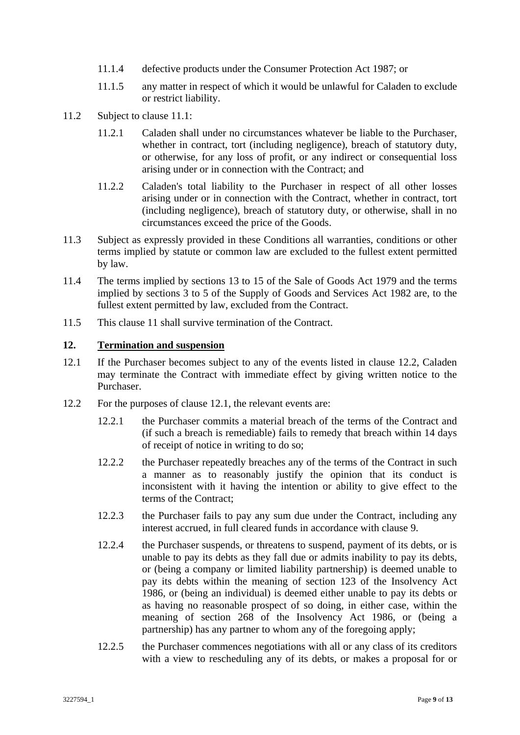- 11.1.4 defective products under the Consumer Protection Act 1987; or
- 11.1.5 any matter in respect of which it would be unlawful for Caladen to exclude or restrict liability.
- 11.2 Subject to clause 11.1:
	- 11.2.1 Caladen shall under no circumstances whatever be liable to the Purchaser, whether in contract, tort (including negligence), breach of statutory duty, or otherwise, for any loss of profit, or any indirect or consequential loss arising under or in connection with the Contract; and
	- 11.2.2 Caladen's total liability to the Purchaser in respect of all other losses arising under or in connection with the Contract, whether in contract, tort (including negligence), breach of statutory duty, or otherwise, shall in no circumstances exceed the price of the Goods.
- 11.3 Subject as expressly provided in these Conditions all warranties, conditions or other terms implied by statute or common law are excluded to the fullest extent permitted by law.
- 11.4 The terms implied by sections 13 to 15 of the Sale of Goods Act 1979 and the terms implied by sections 3 to 5 of the Supply of Goods and Services Act 1982 are, to the fullest extent permitted by law, excluded from the Contract.
- 11.5 This clause 11 shall survive termination of the Contract.

#### **12. Termination and suspension**

- 12.1 If the Purchaser becomes subject to any of the events listed in clause 12.2, Caladen may terminate the Contract with immediate effect by giving written notice to the Purchaser.
- 12.2 For the purposes of clause 12.1, the relevant events are:
	- 12.2.1 the Purchaser commits a material breach of the terms of the Contract and (if such a breach is remediable) fails to remedy that breach within 14 days of receipt of notice in writing to do so;
	- 12.2.2 the Purchaser repeatedly breaches any of the terms of the Contract in such a manner as to reasonably justify the opinion that its conduct is inconsistent with it having the intention or ability to give effect to the terms of the Contract;
	- 12.2.3 the Purchaser fails to pay any sum due under the Contract, including any interest accrued, in full cleared funds in accordance with clause 9.
	- 12.2.4 the Purchaser suspends, or threatens to suspend, payment of its debts, or is unable to pay its debts as they fall due or admits inability to pay its debts, or (being a company or limited liability partnership) is deemed unable to pay its debts within the meaning of section 123 of the Insolvency Act 1986, or (being an individual) is deemed either unable to pay its debts or as having no reasonable prospect of so doing, in either case, within the meaning of section 268 of the Insolvency Act 1986, or (being a partnership) has any partner to whom any of the foregoing apply;
	- 12.2.5 the Purchaser commences negotiations with all or any class of its creditors with a view to rescheduling any of its debts, or makes a proposal for or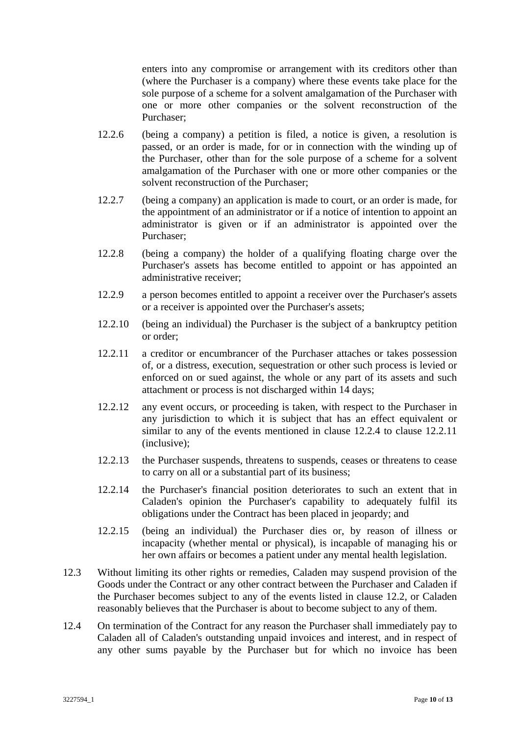enters into any compromise or arrangement with its creditors other than (where the Purchaser is a company) where these events take place for the sole purpose of a scheme for a solvent amalgamation of the Purchaser with one or more other companies or the solvent reconstruction of the Purchaser;

- 12.2.6 (being a company) a petition is filed, a notice is given, a resolution is passed, or an order is made, for or in connection with the winding up of the Purchaser, other than for the sole purpose of a scheme for a solvent amalgamation of the Purchaser with one or more other companies or the solvent reconstruction of the Purchaser;
- 12.2.7 (being a company) an application is made to court, or an order is made, for the appointment of an administrator or if a notice of intention to appoint an administrator is given or if an administrator is appointed over the Purchaser;
- 12.2.8 (being a company) the holder of a qualifying floating charge over the Purchaser's assets has become entitled to appoint or has appointed an administrative receiver;
- 12.2.9 a person becomes entitled to appoint a receiver over the Purchaser's assets or a receiver is appointed over the Purchaser's assets;
- 12.2.10 (being an individual) the Purchaser is the subject of a bankruptcy petition or order;
- 12.2.11 a creditor or encumbrancer of the Purchaser attaches or takes possession of, or a distress, execution, sequestration or other such process is levied or enforced on or sued against, the whole or any part of its assets and such attachment or process is not discharged within 14 days;
- 12.2.12 any event occurs, or proceeding is taken, with respect to the Purchaser in any jurisdiction to which it is subject that has an effect equivalent or similar to any of the events mentioned in clause 12.2.4 to clause 12.2.11 (inclusive);
- 12.2.13 the Purchaser suspends, threatens to suspends, ceases or threatens to cease to carry on all or a substantial part of its business;
- 12.2.14 the Purchaser's financial position deteriorates to such an extent that in Caladen's opinion the Purchaser's capability to adequately fulfil its obligations under the Contract has been placed in jeopardy; and
- 12.2.15 (being an individual) the Purchaser dies or, by reason of illness or incapacity (whether mental or physical), is incapable of managing his or her own affairs or becomes a patient under any mental health legislation.
- 12.3 Without limiting its other rights or remedies, Caladen may suspend provision of the Goods under the Contract or any other contract between the Purchaser and Caladen if the Purchaser becomes subject to any of the events listed in clause 12.2, or Caladen reasonably believes that the Purchaser is about to become subject to any of them.
- 12.4 On termination of the Contract for any reason the Purchaser shall immediately pay to Caladen all of Caladen's outstanding unpaid invoices and interest, and in respect of any other sums payable by the Purchaser but for which no invoice has been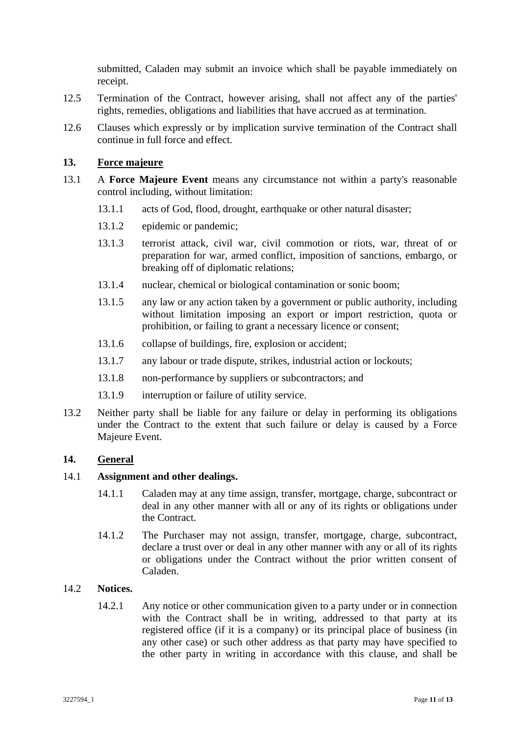submitted, Caladen may submit an invoice which shall be payable immediately on receipt.

- 12.5 Termination of the Contract, however arising, shall not affect any of the parties' rights, remedies, obligations and liabilities that have accrued as at termination.
- 12.6 Clauses which expressly or by implication survive termination of the Contract shall continue in full force and effect.

#### **13. Force majeure**

- 13.1 A **Force Majeure Event** means any circumstance not within a party's reasonable control including, without limitation:
	- 13.1.1 acts of God, flood, drought, earthquake or other natural disaster;
	- 13.1.2 epidemic or pandemic;
	- 13.1.3 terrorist attack, civil war, civil commotion or riots, war, threat of or preparation for war, armed conflict, imposition of sanctions, embargo, or breaking off of diplomatic relations;
	- 13.1.4 nuclear, chemical or biological contamination or sonic boom;
	- 13.1.5 any law or any action taken by a government or public authority, including without limitation imposing an export or import restriction, quota or prohibition, or failing to grant a necessary licence or consent;
	- 13.1.6 collapse of buildings, fire, explosion or accident;
	- 13.1.7 any labour or trade dispute, strikes, industrial action or lockouts;
	- 13.1.8 non-performance by suppliers or subcontractors; and
	- 13.1.9 interruption or failure of utility service.
- 13.2 Neither party shall be liable for any failure or delay in performing its obligations under the Contract to the extent that such failure or delay is caused by a Force Majeure Event.

#### **14. General**

#### 14.1 **Assignment and other dealings.**

- 14.1.1 Caladen may at any time assign, transfer, mortgage, charge, subcontract or deal in any other manner with all or any of its rights or obligations under the Contract.
- 14.1.2 The Purchaser may not assign, transfer, mortgage, charge, subcontract, declare a trust over or deal in any other manner with any or all of its rights or obligations under the Contract without the prior written consent of Caladen.

#### 14.2 **Notices.**

14.2.1 Any notice or other communication given to a party under or in connection with the Contract shall be in writing, addressed to that party at its registered office (if it is a company) or its principal place of business (in any other case) or such other address as that party may have specified to the other party in writing in accordance with this clause, and shall be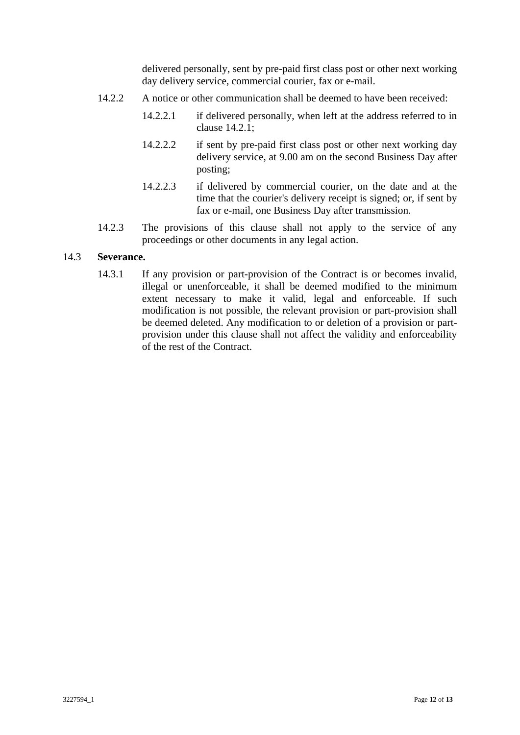delivered personally, sent by pre-paid first class post or other next working day delivery service, commercial courier, fax or e-mail.

- 14.2.2 A notice or other communication shall be deemed to have been received:
	- 14.2.2.1 if delivered personally, when left at the address referred to in clause 14.2.1;
	- 14.2.2.2 if sent by pre-paid first class post or other next working day delivery service, at 9.00 am on the second Business Day after posting;
	- 14.2.2.3 if delivered by commercial courier, on the date and at the time that the courier's delivery receipt is signed; or, if sent by fax or e-mail, one Business Day after transmission.
- 14.2.3 The provisions of this clause shall not apply to the service of any proceedings or other documents in any legal action.

#### 14.3 **Severance.**

14.3.1 If any provision or part-provision of the Contract is or becomes invalid, illegal or unenforceable, it shall be deemed modified to the minimum extent necessary to make it valid, legal and enforceable. If such modification is not possible, the relevant provision or part-provision shall be deemed deleted. Any modification to or deletion of a provision or partprovision under this clause shall not affect the validity and enforceability of the rest of the Contract.